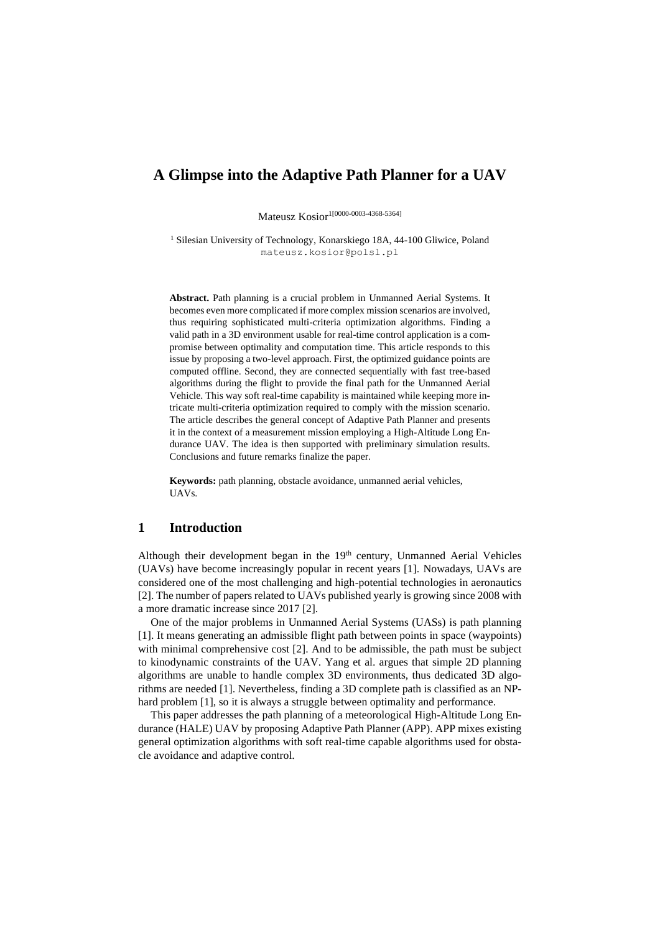# **A Glimpse into the Adaptive Path Planner for a UAV**

Mateusz Kosior<sup>1[0000-0003-4368-5364]</sup>

<sup>1</sup> Silesian University of Technology, Konarskiego 18A, 44-100 Gliwice, Poland mateusz.kosior@polsl.pl

**Abstract.** Path planning is a crucial problem in Unmanned Aerial Systems. It becomes even more complicated if more complex mission scenarios are involved, thus requiring sophisticated multi-criteria optimization algorithms. Finding a valid path in a 3D environment usable for real-time control application is a compromise between optimality and computation time. This article responds to this issue by proposing a two-level approach. First, the optimized guidance points are computed offline. Second, they are connected sequentially with fast tree-based algorithms during the flight to provide the final path for the Unmanned Aerial Vehicle. This way soft real-time capability is maintained while keeping more intricate multi-criteria optimization required to comply with the mission scenario. The article describes the general concept of Adaptive Path Planner and presents it in the context of a measurement mission employing a High-Altitude Long Endurance UAV. The idea is then supported with preliminary simulation results. Conclusions and future remarks finalize the paper.

**Keywords:** path planning, obstacle avoidance, unmanned aerial vehicles, UAVs.

#### **1 Introduction**

Although their development began in the  $19<sup>th</sup>$  century, Unmanned Aerial Vehicles (UAVs) have become increasingly popular in recent years [1]. Nowadays, UAVs are considered one of the most challenging and high-potential technologies in aeronautics [2]. The number of papers related to UAVs published yearly is growing since 2008 with a more dramatic increase since 2017 [2].

One of the major problems in Unmanned Aerial Systems (UASs) is path planning [1]. It means generating an admissible flight path between points in space (waypoints) with minimal comprehensive cost [2]. And to be admissible, the path must be subject to kinodynamic constraints of the UAV. Yang et al. argues that simple 2D planning algorithms are unable to handle complex 3D environments, thus dedicated 3D algorithms are needed [1]. Nevertheless, finding a 3D complete path is classified as an NPhard problem [1], so it is always a struggle between optimality and performance.

This paper addresses the path planning of a meteorological High-Altitude Long Endurance (HALE) UAV by proposing Adaptive Path Planner (APP). APP mixes existing general optimization algorithms with soft real-time capable algorithms used for obstacle avoidance and adaptive control.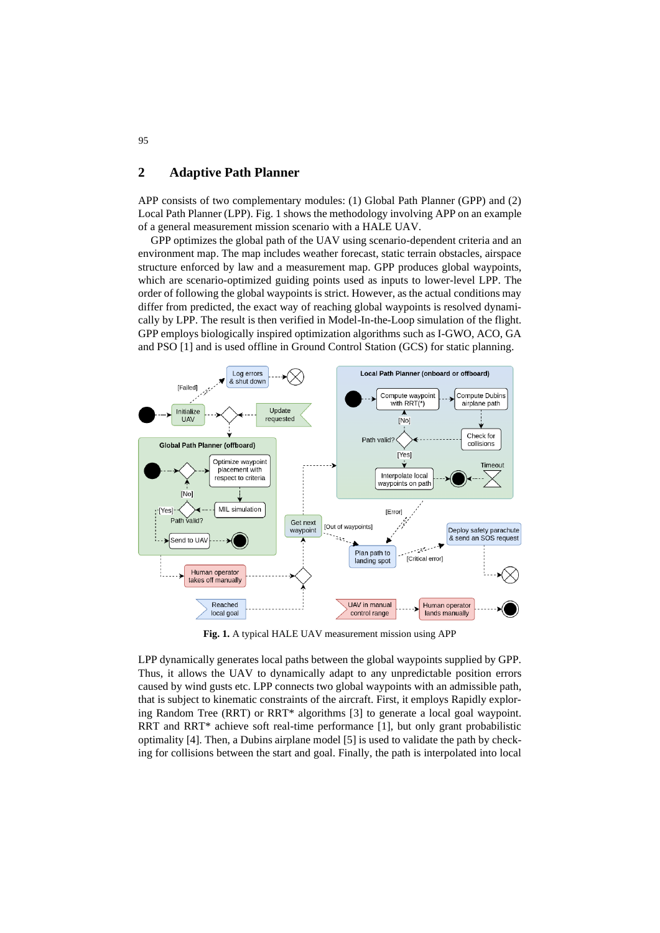## **2 Adaptive Path Planner**

APP consists of two complementary modules: (1) Global Path Planner (GPP) and (2) Local Path Planner (LPP)[. Fig. 1](#page-1-0) shows the methodology involving APP on an example of a general measurement mission scenario with a HALE UAV.

GPP optimizes the global path of the UAV using scenario-dependent criteria and an environment map. The map includes weather forecast, static terrain obstacles, airspace structure enforced by law and a measurement map. GPP produces global waypoints, which are scenario-optimized guiding points used as inputs to lower-level LPP. The order of following the global waypoints is strict. However, as the actual conditions may differ from predicted, the exact way of reaching global waypoints is resolved dynamically by LPP. The result is then verified in Model-In-the-Loop simulation of the flight. GPP employs biologically inspired optimization algorithms such as I-GWO, ACO, GA and PSO [1] and is used offline in Ground Control Station (GCS) for static planning.



**Fig. 1.** A typical HALE UAV measurement mission using APP

<span id="page-1-0"></span>LPP dynamically generates local paths between the global waypoints supplied by GPP. Thus, it allows the UAV to dynamically adapt to any unpredictable position errors caused by wind gusts etc. LPP connects two global waypoints with an admissible path, that is subject to kinematic constraints of the aircraft. First, it employs Rapidly exploring Random Tree (RRT) or RRT\* algorithms [3] to generate a local goal waypoint. RRT and RRT\* achieve soft real-time performance [1], but only grant probabilistic optimality [4]. Then, a Dubins airplane model [5] is used to validate the path by checking for collisions between the start and goal. Finally, the path is interpolated into local

95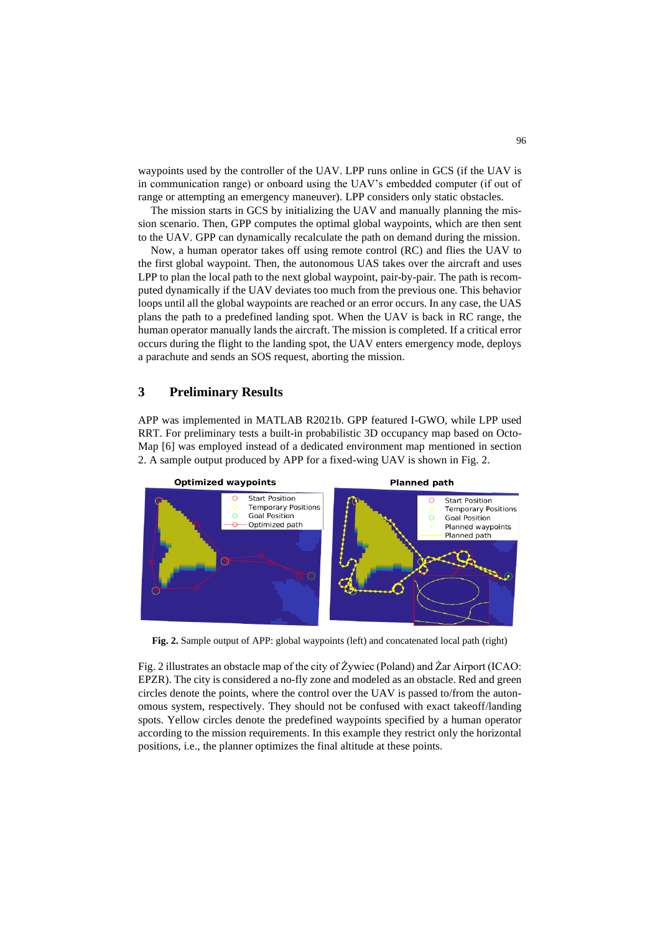waypoints used by the controller of the UAV. LPP runs online in GCS (if the UAV is in communication range) or onboard using the UAV's embedded computer (if out of range or attempting an emergency maneuver). LPP considers only static obstacles.

The mission starts in GCS by initializing the UAV and manually planning the mission scenario. Then, GPP computes the optimal global waypoints, which are then sent to the UAV. GPP can dynamically recalculate the path on demand during the mission.

Now, a human operator takes off using remote control (RC) and flies the UAV to the first global waypoint. Then, the autonomous UAS takes over the aircraft and uses LPP to plan the local path to the next global waypoint, pair-by-pair. The path is recomputed dynamically if the UAV deviates too much from the previous one. This behavior loops until all the global waypoints are reached or an error occurs. In any case, the UAS plans the path to a predefined landing spot. When the UAV is back in RC range, the human operator manually lands the aircraft. The mission is completed. If a critical error occurs during the flight to the landing spot, the UAV enters emergency mode, deploys a parachute and sends an SOS request, aborting the mission.

### **3 Preliminary Results**

APP was implemented in MATLAB R2021b. GPP featured I-GWO, while LPP used RRT. For preliminary tests a built-in probabilistic 3D occupancy map based on Octo-Map [6] was employed instead of a dedicated environment map mentioned in section 2. A sample output produced by APP for a fixed-wing UAV is shown in [Fig. 2.](#page-2-0)



<span id="page-2-0"></span>**Fig. 2.** Sample output of APP: global waypoints (left) and concatenated local path (right)

[Fig. 2](#page-2-0) illustrates an obstacle map of the city of Żywiec (Poland) and Żar Airport (ICAO: EPZR). The city is considered a no-fly zone and modeled as an obstacle. Red and green circles denote the points, where the control over the UAV is passed to/from the autonomous system, respectively. They should not be confused with exact takeoff/landing spots. Yellow circles denote the predefined waypoints specified by a human operator according to the mission requirements. In this example they restrict only the horizontal positions, i.e., the planner optimizes the final altitude at these points.